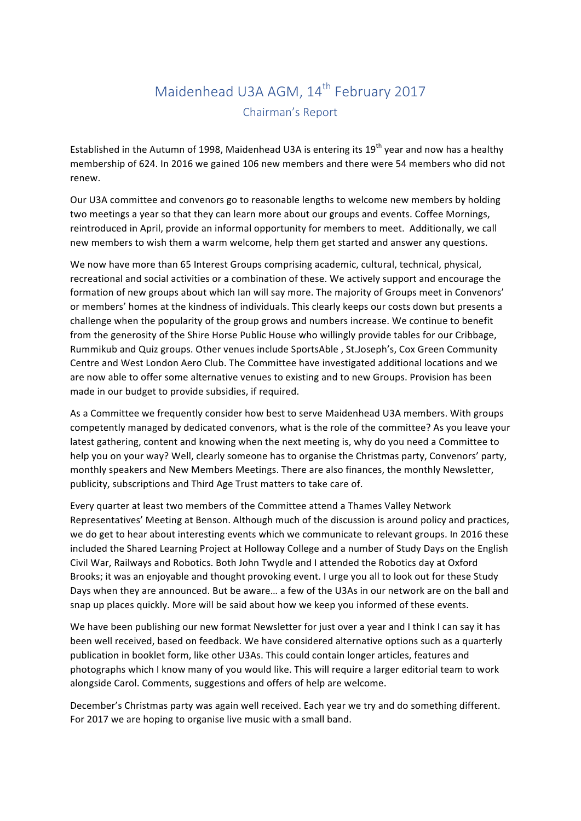## Maidenhead U3A AGM, 14<sup>th</sup> February 2017 Chairman's Report

Established in the Autumn of 1998, Maidenhead U3A is entering its  $19<sup>th</sup>$  year and now has a healthy membership of 624. In 2016 we gained 106 new members and there were 54 members who did not renew.

Our U3A committee and convenors go to reasonable lengths to welcome new members by holding two meetings a year so that they can learn more about our groups and events. Coffee Mornings, reintroduced in April, provide an informal opportunity for members to meet. Additionally, we call new members to wish them a warm welcome, help them get started and answer any questions.

We now have more than 65 Interest Groups comprising academic, cultural, technical, physical, recreational and social activities or a combination of these. We actively support and encourage the formation of new groups about which lan will say more. The majority of Groups meet in Convenors' or members' homes at the kindness of individuals. This clearly keeps our costs down but presents a challenge when the popularity of the group grows and numbers increase. We continue to benefit from the generosity of the Shire Horse Public House who willingly provide tables for our Cribbage, Rummikub and Quiz groups. Other venues include SportsAble , St.Joseph's, Cox Green Community Centre and West London Aero Club. The Committee have investigated additional locations and we are now able to offer some alternative venues to existing and to new Groups. Provision has been made in our budget to provide subsidies, if required.

As a Committee we frequently consider how best to serve Maidenhead U3A members. With groups competently managed by dedicated convenors, what is the role of the committee? As you leave your latest gathering, content and knowing when the next meeting is, why do you need a Committee to help you on your way? Well, clearly someone has to organise the Christmas party, Convenors' party, monthly speakers and New Members Meetings. There are also finances, the monthly Newsletter, publicity, subscriptions and Third Age Trust matters to take care of.

Every quarter at least two members of the Committee attend a Thames Valley Network Representatives' Meeting at Benson. Although much of the discussion is around policy and practices, we do get to hear about interesting events which we communicate to relevant groups. In 2016 these included the Shared Learning Project at Holloway College and a number of Study Days on the English Civil War, Railways and Robotics. Both John Twydle and I attended the Robotics day at Oxford Brooks; it was an enjoyable and thought provoking event. I urge you all to look out for these Study Days when they are announced. But be aware... a few of the U3As in our network are on the ball and snap up places quickly. More will be said about how we keep you informed of these events.

We have been publishing our new format Newsletter for just over a year and I think I can say it has been well received, based on feedback. We have considered alternative options such as a quarterly publication in booklet form, like other U3As. This could contain longer articles, features and photographs which I know many of you would like. This will require a larger editorial team to work alongside Carol. Comments, suggestions and offers of help are welcome.

December's Christmas party was again well received. Each year we try and do something different. For 2017 we are hoping to organise live music with a small band.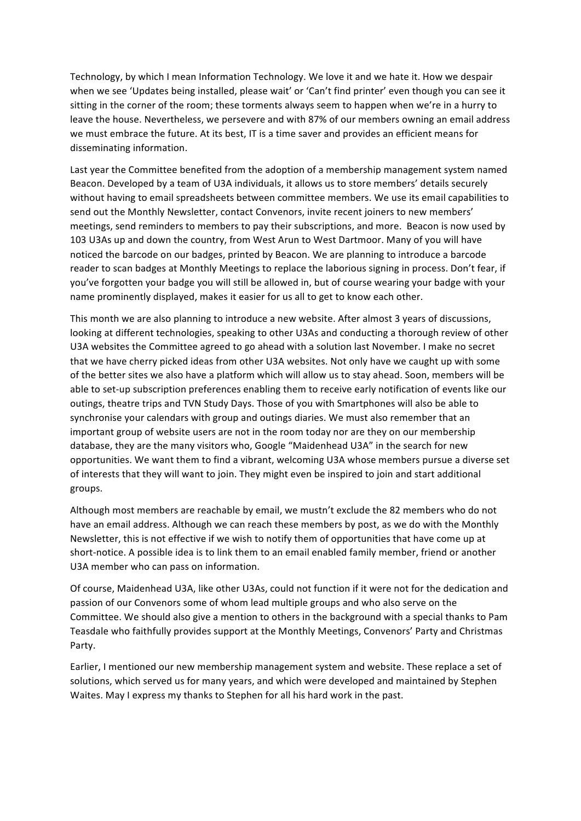Technology, by which I mean Information Technology. We love it and we hate it. How we despair when we see 'Updates being installed, please wait' or 'Can't find printer' even though you can see it sitting in the corner of the room; these torments always seem to happen when we're in a hurry to leave the house. Nevertheless, we persevere and with 87% of our members owning an email address we must embrace the future. At its best, IT is a time saver and provides an efficient means for disseminating information.

Last year the Committee benefited from the adoption of a membership management system named Beacon. Developed by a team of U3A individuals, it allows us to store members' details securely without having to email spreadsheets between committee members. We use its email capabilities to send out the Monthly Newsletter, contact Convenors, invite recent joiners to new members' meetings, send reminders to members to pay their subscriptions, and more. Beacon is now used by 103 U3As up and down the country, from West Arun to West Dartmoor. Many of you will have noticed the barcode on our badges, printed by Beacon. We are planning to introduce a barcode reader to scan badges at Monthly Meetings to replace the laborious signing in process. Don't fear, if you've forgotten your badge you will still be allowed in, but of course wearing your badge with your name prominently displayed, makes it easier for us all to get to know each other.

This month we are also planning to introduce a new website. After almost 3 years of discussions, looking at different technologies, speaking to other U3As and conducting a thorough review of other U3A websites the Committee agreed to go ahead with a solution last November. I make no secret that we have cherry picked ideas from other U3A websites. Not only have we caught up with some of the better sites we also have a platform which will allow us to stay ahead. Soon, members will be able to set-up subscription preferences enabling them to receive early notification of events like our outings, theatre trips and TVN Study Days. Those of you with Smartphones will also be able to synchronise your calendars with group and outings diaries. We must also remember that an important group of website users are not in the room today nor are they on our membership database, they are the many visitors who, Google "Maidenhead U3A" in the search for new opportunities. We want them to find a vibrant, welcoming U3A whose members pursue a diverse set of interests that they will want to join. They might even be inspired to join and start additional groups.

Although most members are reachable by email, we mustn't exclude the 82 members who do not have an email address. Although we can reach these members by post, as we do with the Monthly Newsletter, this is not effective if we wish to notify them of opportunities that have come up at short-notice. A possible idea is to link them to an email enabled family member, friend or another U3A member who can pass on information.

Of course, Maidenhead U3A, like other U3As, could not function if it were not for the dedication and passion of our Convenors some of whom lead multiple groups and who also serve on the Committee. We should also give a mention to others in the background with a special thanks to Pam Teasdale who faithfully provides support at the Monthly Meetings, Convenors' Party and Christmas Party.

Earlier, I mentioned our new membership management system and website. These replace a set of solutions, which served us for many years, and which were developed and maintained by Stephen Waites. May I express my thanks to Stephen for all his hard work in the past.